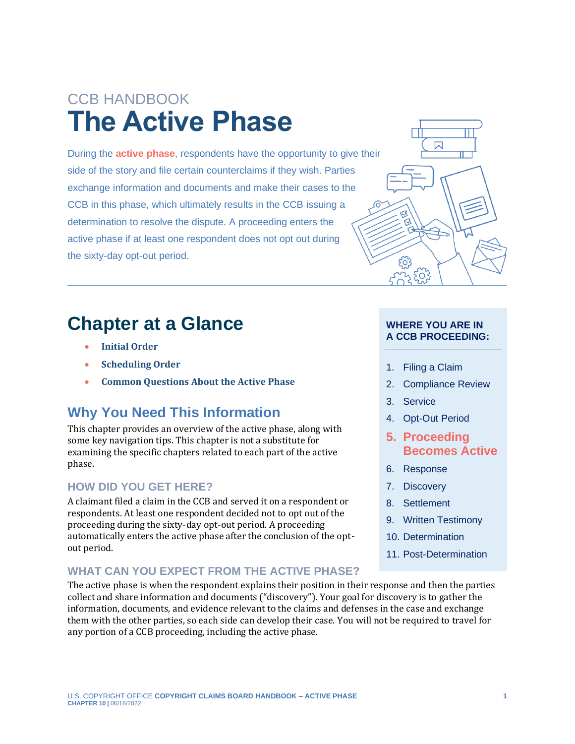# CCB HANDBOOK **The Active Phase**

<span id="page-0-0"></span>During the **[active phase](#page-6-0)**, respondents have the opportunity to give their side of the story and file certain counterclaims if they wish. Parties exchange information and documents and make their cases to the CCB in this phase, which ultimately results in the CCB issuing a determination to resolve the dispute. A proceeding enters the active phase if at least one respondent does not opt out during the sixty-day opt-out period.

### **Chapter at a Glance**

- **[Initial Order](#page-1-0)**
- **[Scheduling](#page-1-1) Order**
- **[Common Questions About the Active Phase](#page-3-0)**

### **Why You Need This Information**

This chapter provides an overview of the active phase, along with some key navigation tips. This chapter is not a substitute for examining the specific chapters related to each part of the active phase.

#### **HOW DID YOU GET HERE?**

A claimant filed a claim in the CCB and served it on a respondent or respondents. At least one respondent decided not to opt out of the proceeding during the sixty-day opt-out period. A proceeding automatically enters the active phase after the conclusion of the optout period.

#### **WHAT CAN YOU EXPECT FROM THE ACTIVE PHASE?**

The active phase is when the respondent explains their position in their response and then the parties collect and share information and documents ("discovery"). Your goal for discovery is to gather the information, documents, and evidence relevant to the claims and defenses in the case and exchange them with the other parties, so each side can develop their case. You will not be required to travel for any portion of a CCB proceeding, including the active phase.



#### **WHERE YOU ARE IN A CCB PROCEEDING:**

- 1. Filing a Claim
- 2. Compliance Review
- 3. Service
- 4. Opt-Out Period
- **5. Proceeding Becomes Active**
- 6. Response
- 7. Discovery
- 8. Settlement
- 9. Written Testimony
- 10. Determination
- 11. Post-Determination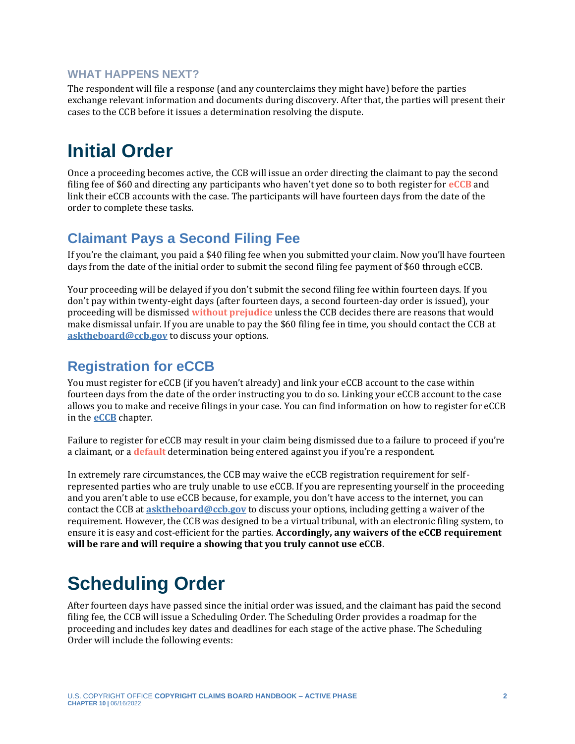#### **WHAT HAPPENS NEXT?**

The respondent will file a response (and any counterclaims they might have) before the parties exchange relevant information and documents during discovery. After that, the parties will present their cases to the CCB before it issues a determination resolving the dispute.

## <span id="page-1-0"></span>**Initial Order**

<span id="page-1-3"></span>Once a proceeding becomes active, the CCB will issue an order directing the claimant to pay the second filing fee of \$60 and directing any participants who haven't yet done so to both register for **[eCCB](#page-6-0)** and link their eCCB accounts with the case. The participants will have fourteen days from the date of the order to complete these tasks.

#### **Claimant Pays a Second Filing Fee**

If you're the claimant, you paid a \$40 filing fee when you submitted your claim. Now you'll have fourteen days from the date of the initial order to submit the second filing fee payment of \$60 through eCCB.

<span id="page-1-4"></span>Your proceeding will be delayed if you don't submit the second filing fee within fourteen days. If you don't pay within twenty-eight days (after fourteen days, a second fourteen-day order is issued), your proceeding will be dismissed **[without prejudice](#page-6-0)** unless the CCB decides there are reasons that would make dismissal unfair. If you are unable to pay the \$60 filing fee in time, you should contact the CCB at **[asktheboard@ccb.gov](mailto:asktheboard@ccb.gov)** to discuss your options.

### **Registration for eCCB**

You must register for eCCB (if you haven't already) and link your eCCB account to the case within fourteen days from the date of the order instructing you to do so. Linking your eCCB account to the case allows you to make and receive filings in your case. You can find information on how to register for eCCB in the **[eCCB](https://ccb.gov/handbook/eCCB.pdf)** chapter.

<span id="page-1-2"></span>Failure to register for eCCB may result in your claim being dismissed due to a failure to proceed if you're a claimant, or a **[default](#page-6-0)** determination being entered against you if you're a respondent.

In extremely rare circumstances, the CCB may waive the eCCB registration requirement for selfrepresented parties who are truly unable to use eCCB. If you are representing yourself in the proceeding and you aren't able to use eCCB because, for example, you don't have access to the internet, you can contact the CCB at **[asktheboard@ccb.gov](mailto:asktheboard@ccb.gov)** to discuss your options, including getting a waiver of the requirement. However, the CCB was designed to be a virtual tribunal, with an electronic filing system, to ensure it is easy and cost-efficient for the parties. **Accordingly, any waivers of the eCCB requirement will be rare and will require a showing that you truly cannot use eCCB**.

# <span id="page-1-1"></span>**Scheduling Order**

After fourteen days have passed since the initial order was issued, and the claimant has paid the second filing fee, the CCB will issue a Scheduling Order. The Scheduling Order provides a roadmap for the proceeding and includes key dates and deadlines for each stage of the active phase. The Scheduling Order will include the following events: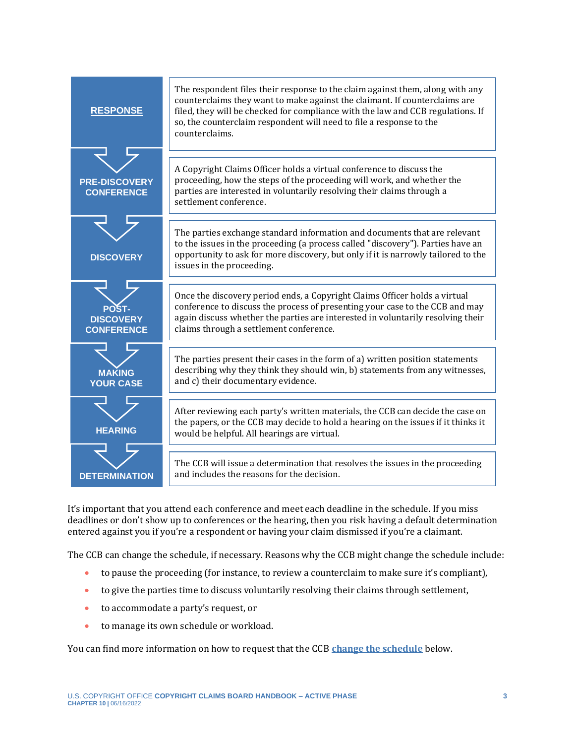| <b>RESPONSE</b>                                | The respondent files their response to the claim against them, along with any<br>counterclaims they want to make against the claimant. If counterclaims are<br>filed, they will be checked for compliance with the law and CCB regulations. If<br>so, the counterclaim respondent will need to file a response to the<br>counterclaims. |
|------------------------------------------------|-----------------------------------------------------------------------------------------------------------------------------------------------------------------------------------------------------------------------------------------------------------------------------------------------------------------------------------------|
| <b>PRE-DISCOVERY</b><br><b>CONFERENCE</b>      | A Copyright Claims Officer holds a virtual conference to discuss the<br>proceeding, how the steps of the proceeding will work, and whether the<br>parties are interested in voluntarily resolving their claims through a<br>settlement conference.                                                                                      |
| <b>DISCOVERY</b>                               | The parties exchange standard information and documents that are relevant<br>to the issues in the proceeding (a process called "discovery"). Parties have an<br>opportunity to ask for more discovery, but only if it is narrowly tailored to the<br>issues in the proceeding.                                                          |
| POST-<br><b>DISCOVERY</b><br><b>CONFERENCE</b> | Once the discovery period ends, a Copyright Claims Officer holds a virtual<br>conference to discuss the process of presenting your case to the CCB and may<br>again discuss whether the parties are interested in voluntarily resolving their<br>claims through a settlement conference.                                                |
| <b>MAKING</b><br><b>YOUR CASE</b>              | The parties present their cases in the form of a) written position statements<br>describing why they think they should win, b) statements from any witnesses,<br>and c) their documentary evidence.                                                                                                                                     |
| <b>HEARING</b>                                 | After reviewing each party's written materials, the CCB can decide the case on<br>the papers, or the CCB may decide to hold a hearing on the issues if it thinks it<br>would be helpful. All hearings are virtual.                                                                                                                      |
| <b>DETERMINATION</b>                           | The CCB will issue a determination that resolves the issues in the proceeding<br>and includes the reasons for the decision.                                                                                                                                                                                                             |

It's important that you attend each conference and meet each deadline in the schedule. If you miss deadlines or don't show up to conferences or the hearing, then you risk having a default determination entered against you if you're a respondent or having your claim dismissed if you're a claimant.

The CCB can change the schedule, if necessary. Reasons why the CCB might change the schedule include:

- to pause the proceeding (for instance, to review a counterclaim to make sure it's compliant),
- to give the parties time to discuss voluntarily resolving their claims through settlement,
- to accommodate a party's request, or
- to manage its own schedule or workload.

You can find more information on how to request that the CCB **[change the schedule](#page-4-0)** below.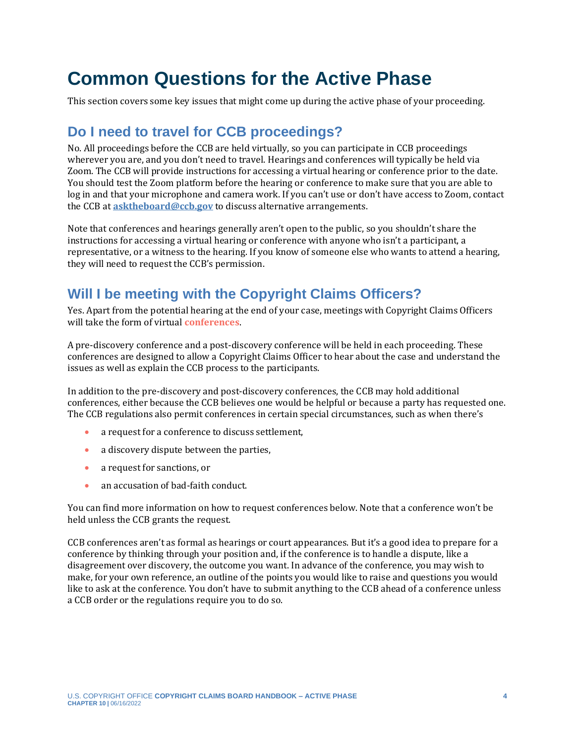## <span id="page-3-0"></span>**Common Questions for the Active Phase**

This section covers some key issues that might come up during the active phase of your proceeding.

### **Do I need to travel for CCB proceedings?**

No. All proceedings before the CCB are held virtually, so you can participate in CCB proceedings wherever you are, and you don't need to travel. Hearings and conferences will typically be held via Zoom. The CCB will provide instructions for accessing a virtual hearing or conference prior to the date. You should test the Zoom platform before the hearing or conference to make sure that you are able to log in and that your microphone and camera work. If you can't use or don't have access to Zoom, contact the CCB at **[asktheboard@ccb.gov](mailto:asktheboard@ccb.gov)** to discuss alternative arrangements.

Note that conferences and hearings generally aren't open to the public, so you shouldn't share the instructions for accessing a virtual hearing or conference with anyone who isn't a participant, a representative, or a witness to the hearing. If you know of someone else who wants to attend a hearing, they will need to request the CCB's permission.

### **Will I be meeting with the Copyright Claims Officers?**

<span id="page-3-1"></span>Yes. Apart from the potential hearing at the end of your case, meetings with Copyright Claims Officers will take the form of virtual **[conferences](#page-6-0)**.

A pre-discovery conference and a post-discovery conference will be held in each proceeding. These conferences are designed to allow a Copyright Claims Officer to hear about the case and understand the issues as well as explain the CCB process to the participants.

In addition to the pre-discovery and post-discovery conferences, the CCB may hold additional conferences, either because the CCB believes one would be helpful or because a party has requested one. The CCB regulations also permit conferences in certain special circumstances, such as when there's

- a request for a conference to discuss settlement,
- a discovery dispute between the parties,
- a request for sanctions, or
- an accusation of bad-faith conduct.

You can find more information on how to request conferences below. Note that a conference won't be held unless the CCB grants the request.

CCB conferences aren't as formal as hearings or court appearances. But it's a good idea to prepare for a conference by thinking through your position and, if the conference is to handle a dispute, like a disagreement over discovery, the outcome you want. In advance of the conference, you may wish to make, for your own reference, an outline of the points you would like to raise and questions you would like to ask at the conference. You don't have to submit anything to the CCB ahead of a conference unless a CCB order or the regulations require you to do so.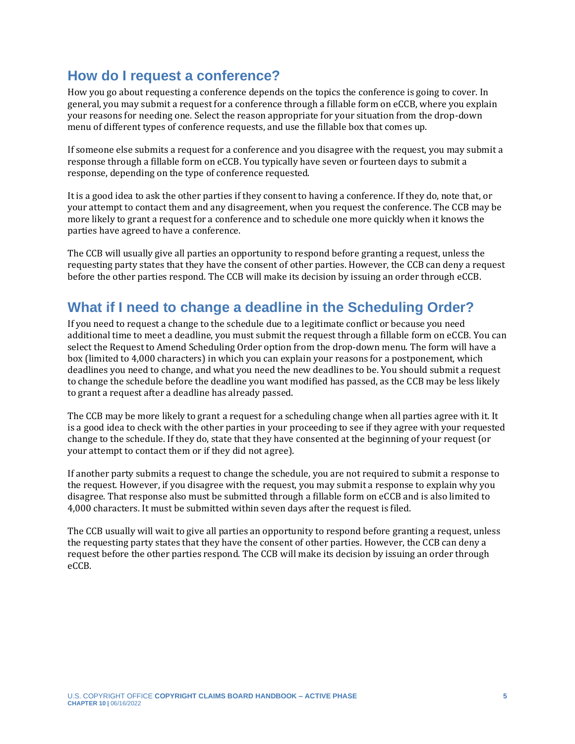#### **How do I request a conference?**

How you go about requesting a conference depends on the topics the conference is going to cover. In general, you may submit a request for a conference through a fillable form on eCCB, where you explain your reasons for needing one. Select the reason appropriate for your situation from the drop-down menu of different types of conference requests, and use the fillable box that comes up.

If someone else submits a request for a conference and you disagree with the request, you may submit a response through a fillable form on eCCB. You typically have seven or fourteen days to submit a response, depending on the type of conference requested.

It is a good idea to ask the other parties if they consent to having a conference. If they do, note that, or your attempt to contact them and any disagreement, when you request the conference. The CCB may be more likely to grant a request for a conference and to schedule one more quickly when it knows the parties have agreed to have a conference.

The CCB will usually give all parties an opportunity to respond before granting a request, unless the requesting party states that they have the consent of other parties. However, the CCB can deny a request before the other parties respond. The CCB will make its decision by issuing an order through eCCB.

### <span id="page-4-0"></span>**What if I need to change a deadline in the Scheduling Order?**

If you need to request a change to the schedule due to a legitimate conflict or because you need additional time to meet a deadline, you must submit the request through a fillable form on eCCB. You can select the Request to Amend Scheduling Order option from the drop-down menu. The form will have a box (limited to 4,000 characters) in which you can explain your reasons for a postponement, which deadlines you need to change, and what you need the new deadlines to be. You should submit a request to change the schedule before the deadline you want modified has passed, as the CCB may be less likely to grant a request after a deadline has already passed.

The CCB may be more likely to grant a request for a scheduling change when all parties agree with it. It is a good idea to check with the other parties in your proceeding to see if they agree with your requested change to the schedule. If they do, state that they have consented at the beginning of your request (or your attempt to contact them or if they did not agree).

If another party submits a request to change the schedule, you are not required to submit a response to the request. However, if you disagree with the request, you may submit a response to explain why you disagree. That response also must be submitted through a fillable form on eCCB and is also limited to 4,000 characters. It must be submitted within seven days after the request is filed.

The CCB usually will wait to give all parties an opportunity to respond before granting a request, unless the requesting party states that they have the consent of other parties. However, the CCB can deny a request before the other parties respond. The CCB will make its decision by issuing an order through eCCB.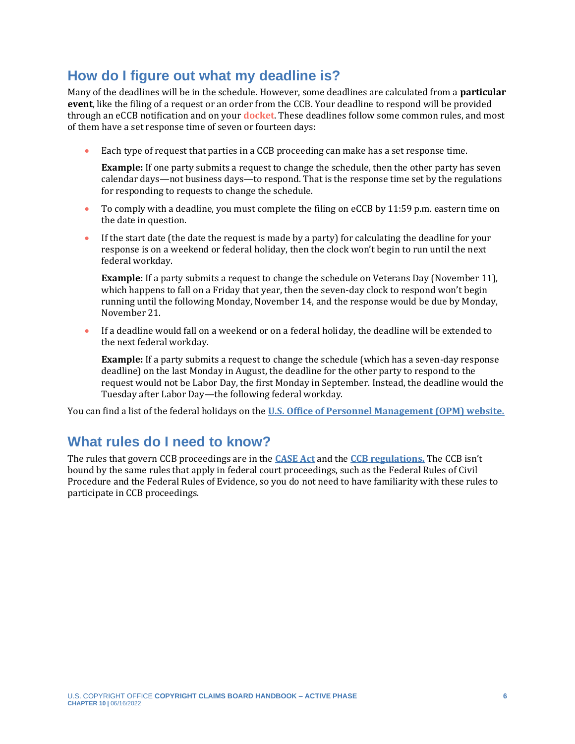### **How do I figure out what my deadline is?**

Many of the deadlines will be in the schedule. However, some deadlines are calculated from a **particular event**, like the filing of a request or an order from the CCB. Your deadline to respond will be provided through an eCCB notification and on your **[docket](#page-6-0)**. These deadlines follow some common rules, and most of them have a set response time of seven or fourteen days:

• Each type of request that parties in a CCB proceeding can make has a set response time.

<span id="page-5-0"></span>**Example:** If one party submits a request to change the schedule, then the other party has seven calendar days—not business days—to respond. That is the response time set by the regulations for responding to requests to change the schedule.

- To comply with a deadline, you must complete the filing on eCCB by 11:59 p.m. eastern time on the date in question.
- If the start date (the date the request is made by a party) for calculating the deadline for your response is on a weekend or federal holiday, then the clock won't begin to run until the next federal workday.

**Example:** If a party submits a request to change the schedule on Veterans Day (November 11), which happens to fall on a Friday that year, then the seven-day clock to respond won't begin running until the following Monday, November 14, and the response would be due by Monday, November 21.

• If a deadline would fall on a weekend or on a federal holiday, the deadline will be extended to the next federal workday.

**Example:** If a party submits a request to change the schedule (which has a seven-day response deadline) on the last Monday in August, the deadline for the other party to respond to the request would not be Labor Day, the first Monday in September. Instead, the deadline would the Tuesday after Labor Day—the following federal workday.

You can find a list of the federal holidays on the **[U.S. Office of Personnel Management \(OPM\) website.](https://www.opm.gov/policy-data-oversight/pay-leave/federal-holidays/)**

### **What rules do I need to know?**

The rules that govern CCB proceedings are in the **[CASE Act](https://copyright.gov/legislation/copyright-small-claims.pdf)** and the **[CCB regulations.](https://ccb.gov/rulemakings/)** The CCB isn't bound by the same rules that apply in federal court proceedings, such as the Federal Rules of Civil Procedure and the Federal Rules of Evidence, so you do not need to have familiarity with these rules to participate in CCB proceedings.